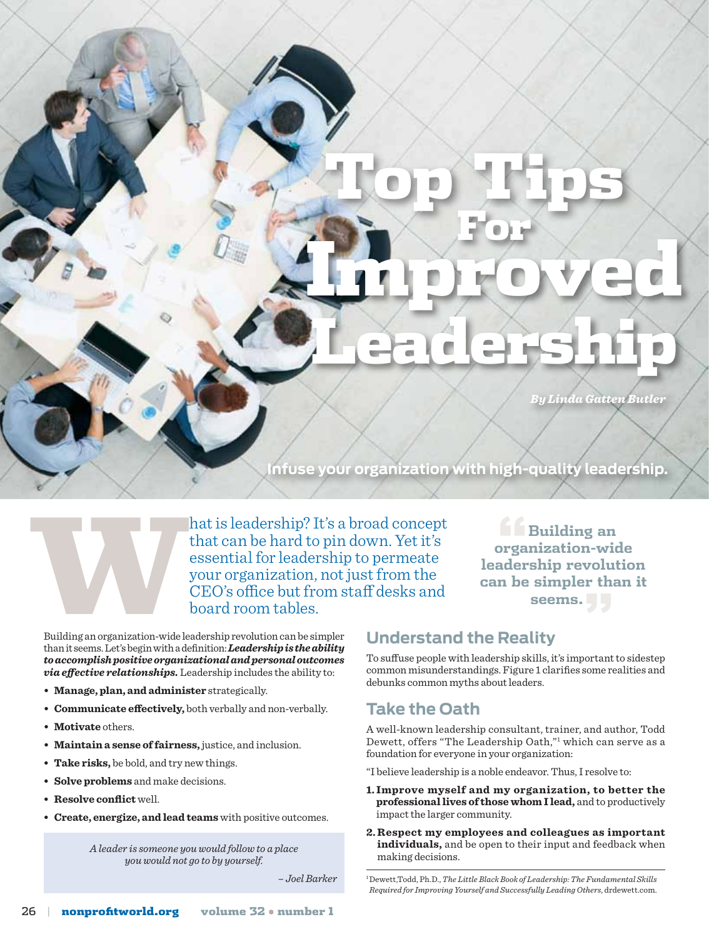# For Improved Leadership

Top Tips

*By Linda Gatten Butler*

**"Building an organization-wide leadership revolution can be simpler than it seems."**

**Infuse your organization with high-quality leadership.**



hat is leadership? It's a broad concept<br>that can be hard to pin down. Yet it's<br>essential for leadership to permeate<br>your organization, not just from the<br>CEO's office but from staff desks and<br>board room tables.<br>Building an that can be hard to pin down. Yet it's essential for leadership to permeate your organization, not just from the CEO's office but from staff desks and board room tables.

Building an organization-wide leadership revolution can be simpler than it seems. Let's begin with a definition: *Leadership is the ability to accomplish positive organizational and personal outcomes via effective relationships.* Leadership includes the ability to:

- **Manage, plan, and administer** strategically.
- **Communicate effectively,** both verbally and non-verbally.
- **Motivate** others.
- **Maintain a sense offairness,** justice, and inclusion.
- **Take risks,** be bold, and try new things.
- **Solve problems** and make decisions.
- **Resolve conflict** well.
- **Create, energize, and lead teams** with positive outcomes.

*A leader is someone you would follow to a place you would not go to by yourself.*

## **Understand the Reality**

To suffuse people with leadership skills, it's important to sidestep common misunderstandings. Figure 1 clarifies some realities and debunks common myths about leaders.

## **Take the Oath**

A well-known leadership consultant, trainer, and author, Todd Dewett, offers "The Leadership Oath,"1 which can serve as a foundation for everyone in your organization:

"I believe leadership is a noble endeavor. Thus, I resolve to:

- **1. Improve myself and my organization, to better the professionallives of those whom I lead,** and to productively impact the larger community.
- **2. Respect my employees and colleagues as important individuals,** and be open to their input and feedback when making decisions.

 *– Joel Barker* 1 Dewett,Todd, Ph.D., *The Little Black Book of Leadership: The Fundamental Skills Required for Improving Yourself and Successfully Leading Others*, drdewett.com.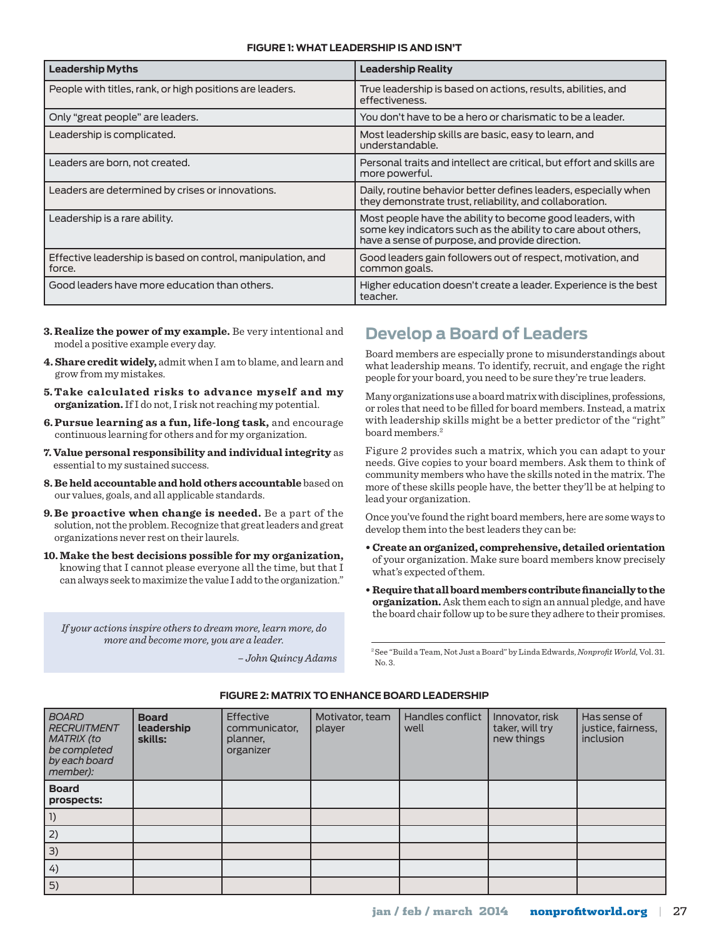#### **Figure 1: What Leadership Is and Isn't**

| <b>Leadership Myths</b>                                               | <b>Leadership Reality</b>                                                                                                                                                     |
|-----------------------------------------------------------------------|-------------------------------------------------------------------------------------------------------------------------------------------------------------------------------|
| People with titles, rank, or high positions are leaders.              | True leadership is based on actions, results, abilities, and<br>effectiveness.                                                                                                |
| Only "great people" are leaders.                                      | You don't have to be a hero or charismatic to be a leader.                                                                                                                    |
| Leadership is complicated.                                            | Most leadership skills are basic, easy to learn, and<br>understandable.                                                                                                       |
| Leaders are born, not created.                                        | Personal traits and intellect are critical, but effort and skills are<br>more powerful.                                                                                       |
| Leaders are determined by crises or innovations.                      | Daily, routine behavior better defines leaders, especially when<br>they demonstrate trust, reliability, and collaboration.                                                    |
| Leadership is a rare ability.                                         | Most people have the ability to become good leaders, with<br>some key indicators such as the ability to care about others,<br>have a sense of purpose, and provide direction. |
| Effective leadership is based on control, manipulation, and<br>force. | Good leaders gain followers out of respect, motivation, and<br>common goals.                                                                                                  |
| Good leaders have more education than others.                         | Higher education doesn't create a leader. Experience is the best<br>teacher.                                                                                                  |

- **3. Realize the power of my example.** Be very intentional and model a positive example every day.<br>**4. Share credit widely,** admit when I am to blame, and learn and many means we show that model a positive example every day.
	- **4. Share credit widely,** admit when I am to blame, and learn and grow from my mistakes.
	- **5. Take calculated risks to advance myself and my organization.** If I do not, I risk not reaching my potential.
	- **6. Pursue learning as a fun, life-long task,** and encourage continuous learning for others and for my organization.
	- **7. Value personal responsibility and individual integrity** as essential to my sustained success.
	- **8. Be held accountable and hold others accountable** based on our values, goals, and all applicable standards.
	- **9. Be proactive when change is needed.** Be a part of the solution, not the problem. Recognize that great leaders and great organizations never rest on their laurels.
	- **10. Make the best decisions possible for my organization,** knowing that I cannot please everyone all the time, but that I can always seek to maximize the value I add to the organization."

*If your actions inspire others to dream more, learn more, do more and become more, you are a leader.*

*– John Quincy Adams*

## **Develop a Board of Leaders**

Board members are especially prone to misunderstandings about what leadership means. To identify, recruit, and engage the right people for your board, you need to be sure they're true leaders.

Many organizations use a board matrix with disciplines, professions, or roles that need to be filled for board members. Instead, a matrix with leadership skills might be a better predictor of the "right" board members.2

Figure 2 provides such a matrix, which you can adapt to your needs. Give copies to your board members. Ask them to think of community members who have the skills noted in the matrix. The more of these skills people have, the better they'll be at helping to lead your organization.

Once you've found the right board members, here are some ways to develop them into the best leaders they can be:

- **• Create an organized, comprehensive, detailed orientation** of your organization. Make sure board members know precisely what's expected of them.
- **• Requirethatallboardmemberscontributefinanciallytothe organization.** Ask them each to sign an annual pledge, and have the board chair follow up to be sure they adhere to their promises.

2 See "Build a Team, Not Just a Board" by Linda Edwards, *Nonprofit World,* Vol. 31. No. 3.

| <b>BOARD</b><br><b>RECRUITMENT</b><br>MATRIX (to<br>be completed<br>by each board<br>member): | <b>Board</b><br>leadership<br>skills: | Effective<br>communicator,<br>planner,<br>organizer | Motivator, team<br>player | Handles conflict<br>well | Innovator, risk<br>taker, will try<br>new things | Has sense of<br>justice, fairness,<br>inclusion |
|-----------------------------------------------------------------------------------------------|---------------------------------------|-----------------------------------------------------|---------------------------|--------------------------|--------------------------------------------------|-------------------------------------------------|
| <b>Board</b><br>prospects:                                                                    |                                       |                                                     |                           |                          |                                                  |                                                 |
|                                                                                               |                                       |                                                     |                           |                          |                                                  |                                                 |
| 2)                                                                                            |                                       |                                                     |                           |                          |                                                  |                                                 |
| 3)                                                                                            |                                       |                                                     |                           |                          |                                                  |                                                 |
| 4)                                                                                            |                                       |                                                     |                           |                          |                                                  |                                                 |
| 5)                                                                                            |                                       |                                                     |                           |                          |                                                  |                                                 |

#### **Figure 2: Matrix to Enhance Board Leadership**